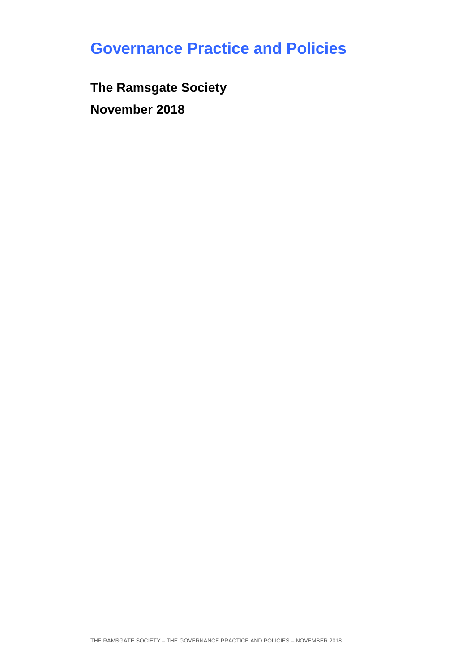# **Governance Practice and Policies**

**The Ramsgate Society November 2018**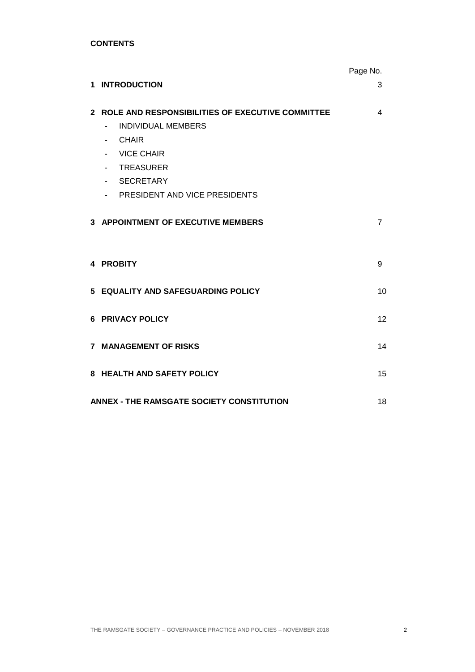|                                                                                                                                                                                                                                                                        | Page No.       |
|------------------------------------------------------------------------------------------------------------------------------------------------------------------------------------------------------------------------------------------------------------------------|----------------|
| 1 INTRODUCTION                                                                                                                                                                                                                                                         | 3              |
| 2 ROLE AND RESPONSIBILITIES OF EXECUTIVE COMMITTEE<br><b>INDIVIDUAL MEMBERS</b><br>$\blacksquare$<br><b>CHAIR</b><br>$\blacksquare$<br>- VICE CHAIR<br><b>TREASURER</b><br>$\sim 100$<br><b>SECRETARY</b><br>$\sim 100$<br>PRESIDENT AND VICE PRESIDENTS<br>$\sim 100$ | 4              |
| <b>3 APPOINTMENT OF EXECUTIVE MEMBERS</b>                                                                                                                                                                                                                              | $\overline{7}$ |
| 4 PROBITY                                                                                                                                                                                                                                                              | 9              |
| 5 EQUALITY AND SAFEGUARDING POLICY                                                                                                                                                                                                                                     | 10             |
| 6 PRIVACY POLICY                                                                                                                                                                                                                                                       | 12             |
| 7 MANAGEMENT OF RISKS                                                                                                                                                                                                                                                  | 14             |
| 8 HEALTH AND SAFETY POLICY                                                                                                                                                                                                                                             | 15             |
| ANNEX - THE RAMSGATE SOCIETY CONSTITUTION                                                                                                                                                                                                                              | 18             |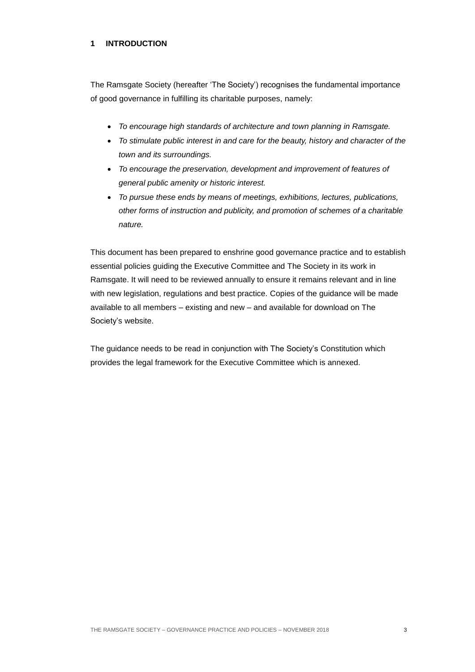# **1 INTRODUCTION**

The Ramsgate Society (hereafter 'The Society') recognises the fundamental importance of good governance in fulfilling its charitable purposes, namely:

- *To encourage high standards of architecture and town planning in Ramsgate.*
- *To stimulate public interest in and care for the beauty, history and character of the town and its surroundings.*
- *To encourage the preservation, development and improvement of features of general public amenity or historic interest.*
- *To pursue these ends by means of meetings, exhibitions, lectures, publications, other forms of instruction and publicity, and promotion of schemes of a charitable nature.*

This document has been prepared to enshrine good governance practice and to establish essential policies guiding the Executive Committee and The Society in its work in Ramsgate. It will need to be reviewed annually to ensure it remains relevant and in line with new legislation, regulations and best practice. Copies of the guidance will be made available to all members – existing and new – and available for download on The Society's website.

The guidance needs to be read in conjunction with The Society's Constitution which provides the legal framework for the Executive Committee which is annexed.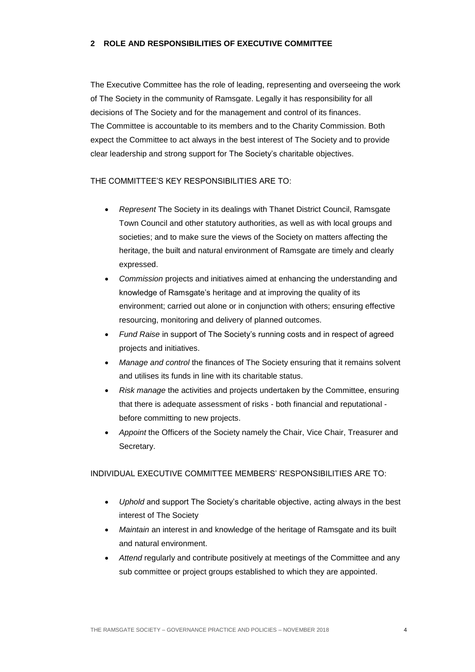# **2 ROLE AND RESPONSIBILITIES OF EXECUTIVE COMMITTEE**

The Executive Committee has the role of leading, representing and overseeing the work of The Society in the community of Ramsgate. Legally it has responsibility for all decisions of The Society and for the management and control of its finances. The Committee is accountable to its members and to the Charity Commission. Both expect the Committee to act always in the best interest of The Society and to provide clear leadership and strong support for The Society's charitable objectives.

# THE COMMITTEE'S KEY RESPONSIBILITIES ARE TO:

- *Represent* The Society in its dealings with Thanet District Council, Ramsgate Town Council and other statutory authorities, as well as with local groups and societies; and to make sure the views of the Society on matters affecting the heritage, the built and natural environment of Ramsgate are timely and clearly expressed.
- *Commission* projects and initiatives aimed at enhancing the understanding and knowledge of Ramsgate's heritage and at improving the quality of its environment; carried out alone or in conjunction with others; ensuring effective resourcing, monitoring and delivery of planned outcomes.
- *Fund Raise* in support of The Society's running costs and in respect of agreed projects and initiatives.
- *Manage and control* the finances of The Society ensuring that it remains solvent and utilises its funds in line with its charitable status.
- *Risk manage* the activities and projects undertaken by the Committee, ensuring that there is adequate assessment of risks - both financial and reputational before committing to new projects.
- *Appoint* the Officers of the Society namely the Chair, Vice Chair, Treasurer and Secretary.

# INDIVIDUAL EXECUTIVE COMMITTEE MEMBERS' RESPONSIBILITIES ARE TO:

- *Uphold* and support The Society's charitable objective, acting always in the best interest of The Society
- *Maintain* an interest in and knowledge of the heritage of Ramsgate and its built and natural environment.
- *Attend* regularly and contribute positively at meetings of the Committee and any sub committee or project groups established to which they are appointed.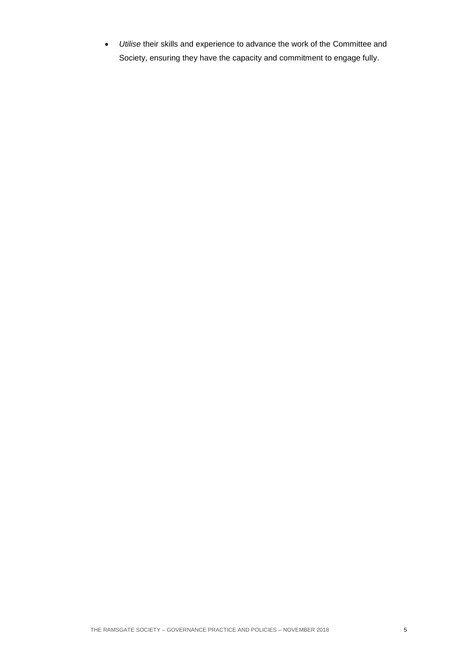*Utilise* their skills and experience to advance the work of the Committee and Society, ensuring they have the capacity and commitment to engage fully.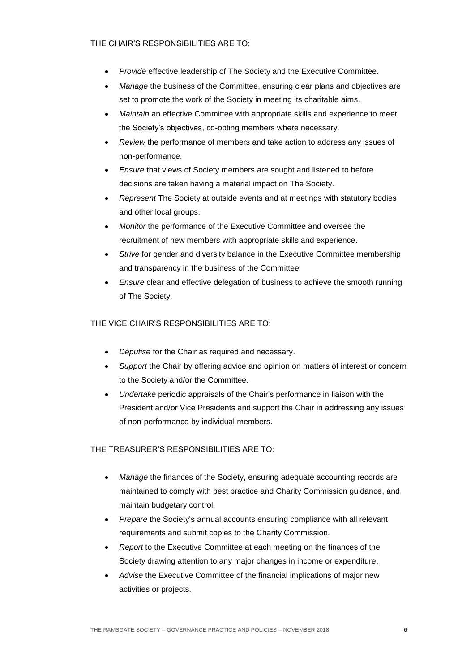# THE CHAIR'S RESPONSIBILITIES ARE TO:

- *Provide* effective leadership of The Society and the Executive Committee.
- *Manage* the business of the Committee, ensuring clear plans and objectives are set to promote the work of the Society in meeting its charitable aims.
- *Maintain* an effective Committee with appropriate skills and experience to meet the Society's objectives, co-opting members where necessary.
- *Review* the performance of members and take action to address any issues of non-performance.
- *Ensure* that views of Society members are sought and listened to before decisions are taken having a material impact on The Society.
- *Represent* The Society at outside events and at meetings with statutory bodies and other local groups.
- *Monitor* the performance of the Executive Committee and oversee the recruitment of new members with appropriate skills and experience.
- *Strive* for gender and diversity balance in the Executive Committee membership and transparency in the business of the Committee.
- *Ensure* clear and effective delegation of business to achieve the smooth running of The Society.

# THE VICE CHAIR'S RESPONSIBILITIES ARE TO:

- *Deputise* for the Chair as required and necessary.
- *Support* the Chair by offering advice and opinion on matters of interest or concern to the Society and/or the Committee.
- *Undertake* periodic appraisals of the Chair's performance in liaison with the President and/or Vice Presidents and support the Chair in addressing any issues of non-performance by individual members.

# THE TREASURER'S RESPONSIBILITIES ARE TO:

- *Manage* the finances of the Society, ensuring adequate accounting records are maintained to comply with best practice and Charity Commission guidance, and maintain budgetary control.
- *Prepare* the Society's annual accounts ensuring compliance with all relevant requirements and submit copies to the Charity Commission.
- *Report* to the Executive Committee at each meeting on the finances of the Society drawing attention to any major changes in income or expenditure.
- *Advise* the Executive Committee of the financial implications of major new activities or projects.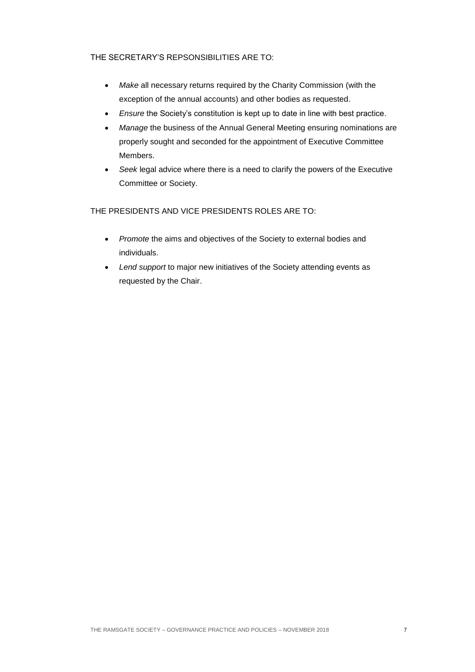# THE SECRETARY'S REPSONSIBILITIES ARE TO:

- *Make* all necessary returns required by the Charity Commission (with the exception of the annual accounts) and other bodies as requested.
- *Ensure* the Society's constitution is kept up to date in line with best practice.
- *Manage* the business of the Annual General Meeting ensuring nominations are properly sought and seconded for the appointment of Executive Committee Members.
- *Seek* legal advice where there is a need to clarify the powers of the Executive Committee or Society.

THE PRESIDENTS AND VICE PRESIDENTS ROLES ARE TO:

- *Promote* the aims and objectives of the Society to external bodies and individuals.
- *Lend support* to major new initiatives of the Society attending events as requested by the Chair.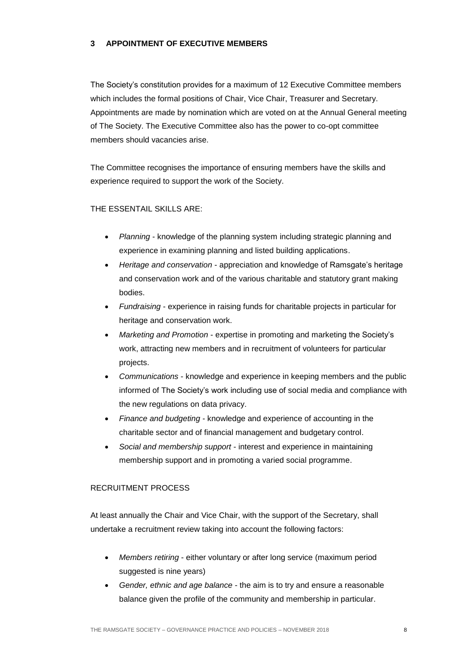# **3 APPOINTMENT OF EXECUTIVE MEMBERS**

The Society's constitution provides for a maximum of 12 Executive Committee members which includes the formal positions of Chair, Vice Chair, Treasurer and Secretary. Appointments are made by nomination which are voted on at the Annual General meeting of The Society. The Executive Committee also has the power to co-opt committee members should vacancies arise.

The Committee recognises the importance of ensuring members have the skills and experience required to support the work of the Society.

# THE ESSENTAIL SKILLS ARE:

- *Planning* knowledge of the planning system including strategic planning and experience in examining planning and listed building applications.
- *Heritage and conservation* appreciation and knowledge of Ramsgate's heritage and conservation work and of the various charitable and statutory grant making bodies.
- *Fundraising* experience in raising funds for charitable projects in particular for heritage and conservation work.
- *Marketing and Promotion* expertise in promoting and marketing the Society's work, attracting new members and in recruitment of volunteers for particular projects.
- *Communications* knowledge and experience in keeping members and the public informed of The Society's work including use of social media and compliance with the new regulations on data privacy.
- *Finance and budgeting* knowledge and experience of accounting in the charitable sector and of financial management and budgetary control.
- *Social and membership support* interest and experience in maintaining membership support and in promoting a varied social programme.

# RECRUITMENT PROCESS

At least annually the Chair and Vice Chair, with the support of the Secretary, shall undertake a recruitment review taking into account the following factors:

- *Members retiring* either voluntary or after long service (maximum period suggested is nine years)
- *Gender, ethnic and age balance* the aim is to try and ensure a reasonable balance given the profile of the community and membership in particular.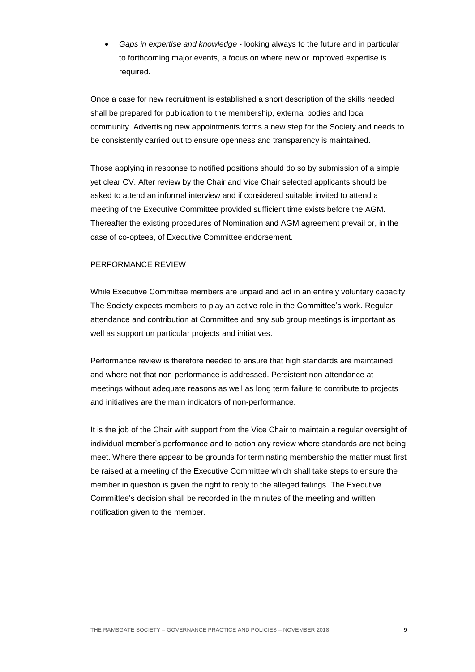*Gaps in expertise and knowledge* - looking always to the future and in particular to forthcoming major events, a focus on where new or improved expertise is required.

Once a case for new recruitment is established a short description of the skills needed shall be prepared for publication to the membership, external bodies and local community. Advertising new appointments forms a new step for the Society and needs to be consistently carried out to ensure openness and transparency is maintained.

Those applying in response to notified positions should do so by submission of a simple yet clear CV. After review by the Chair and Vice Chair selected applicants should be asked to attend an informal interview and if considered suitable invited to attend a meeting of the Executive Committee provided sufficient time exists before the AGM. Thereafter the existing procedures of Nomination and AGM agreement prevail or, in the case of co-optees, of Executive Committee endorsement.

## PERFORMANCE REVIEW

While Executive Committee members are unpaid and act in an entirely voluntary capacity The Society expects members to play an active role in the Committee's work. Regular attendance and contribution at Committee and any sub group meetings is important as well as support on particular projects and initiatives.

Performance review is therefore needed to ensure that high standards are maintained and where not that non-performance is addressed. Persistent non-attendance at meetings without adequate reasons as well as long term failure to contribute to projects and initiatives are the main indicators of non-performance.

It is the job of the Chair with support from the Vice Chair to maintain a regular oversight of individual member's performance and to action any review where standards are not being meet. Where there appear to be grounds for terminating membership the matter must first be raised at a meeting of the Executive Committee which shall take steps to ensure the member in question is given the right to reply to the alleged failings. The Executive Committee's decision shall be recorded in the minutes of the meeting and written notification given to the member.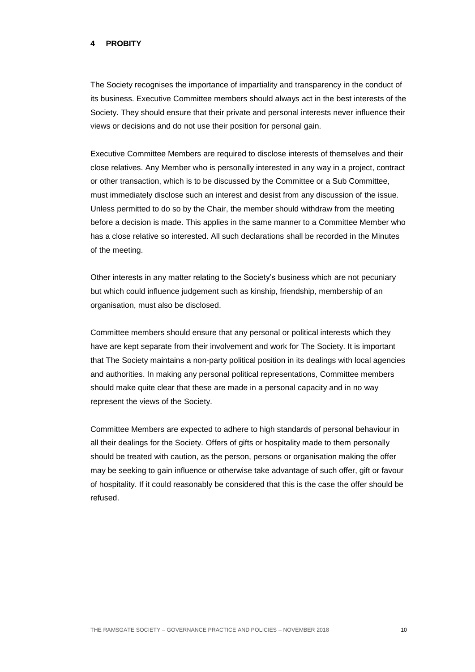## **4 PROBITY**

The Society recognises the importance of impartiality and transparency in the conduct of its business. Executive Committee members should always act in the best interests of the Society. They should ensure that their private and personal interests never influence their views or decisions and do not use their position for personal gain.

Executive Committee Members are required to disclose interests of themselves and their close relatives. Any Member who is personally interested in any way in a project, contract or other transaction, which is to be discussed by the Committee or a Sub Committee, must immediately disclose such an interest and desist from any discussion of the issue. Unless permitted to do so by the Chair, the member should withdraw from the meeting before a decision is made. This applies in the same manner to a Committee Member who has a close relative so interested. All such declarations shall be recorded in the Minutes of the meeting.

Other interests in any matter relating to the Society's business which are not pecuniary but which could influence judgement such as kinship, friendship, membership of an organisation, must also be disclosed.

Committee members should ensure that any personal or political interests which they have are kept separate from their involvement and work for The Society. It is important that The Society maintains a non-party political position in its dealings with local agencies and authorities. In making any personal political representations, Committee members should make quite clear that these are made in a personal capacity and in no way represent the views of the Society.

Committee Members are expected to adhere to high standards of personal behaviour in all their dealings for the Society. Offers of gifts or hospitality made to them personally should be treated with caution, as the person, persons or organisation making the offer may be seeking to gain influence or otherwise take advantage of such offer, gift or favour of hospitality. If it could reasonably be considered that this is the case the offer should be refused.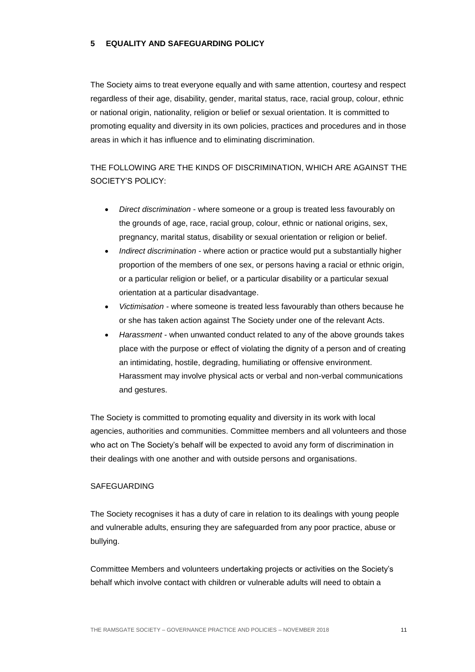## **5 EQUALITY AND SAFEGUARDING POLICY**

The Society aims to treat everyone equally and with same attention, courtesy and respect regardless of their age, disability, gender, marital status, race, racial group, colour, ethnic or national origin, nationality, religion or belief or sexual orientation. It is committed to promoting equality and diversity in its own policies, practices and procedures and in those areas in which it has influence and to eliminating discrimination.

THE FOLLOWING ARE THE KINDS OF DISCRIMINATION, WHICH ARE AGAINST THE SOCIETY'S POLICY:

- *Direct discrimination* where someone or a group is treated less favourably on the grounds of age, race, racial group, colour, ethnic or national origins, sex, pregnancy, marital status, disability or sexual orientation or religion or belief.
- *Indirect discrimination -* where action or practice would put a substantially higher proportion of the members of one sex, or persons having a racial or ethnic origin, or a particular religion or belief, or a particular disability or a particular sexual orientation at a particular disadvantage.
- *Victimisation -* where someone is treated less favourably than others because he or she has taken action against The Society under one of the relevant Acts.
- *Harassment -* when unwanted conduct related to any of the above grounds takes place with the purpose or effect of violating the dignity of a person and of creating an intimidating, hostile, degrading, humiliating or offensive environment. Harassment may involve physical acts or verbal and non-verbal communications and gestures.

The Society is committed to promoting equality and diversity in its work with local agencies, authorities and communities. Committee members and all volunteers and those who act on The Society's behalf will be expected to avoid any form of discrimination in their dealings with one another and with outside persons and organisations.

# **SAFEGUARDING**

The Society recognises it has a duty of care in relation to its dealings with young people and vulnerable adults, ensuring they are safeguarded from any poor practice, abuse or bullying.

Committee Members and volunteers undertaking projects or activities on the Society's behalf which involve contact with children or vulnerable adults will need to obtain a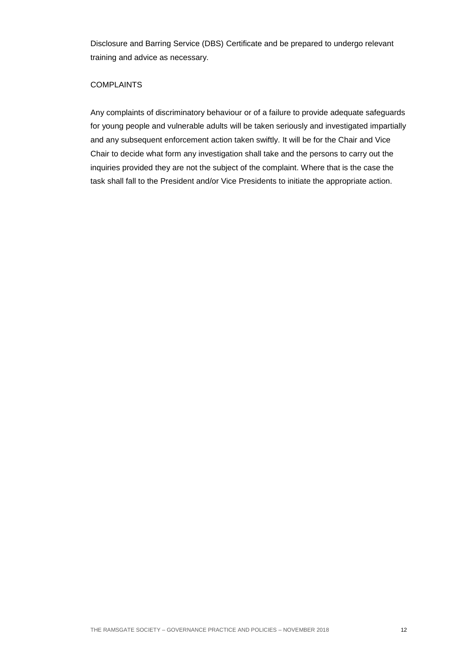Disclosure and Barring Service (DBS) Certificate and be prepared to undergo relevant training and advice as necessary.

# **COMPLAINTS**

Any complaints of discriminatory behaviour or of a failure to provide adequate safeguards for young people and vulnerable adults will be taken seriously and investigated impartially and any subsequent enforcement action taken swiftly. It will be for the Chair and Vice Chair to decide what form any investigation shall take and the persons to carry out the inquiries provided they are not the subject of the complaint. Where that is the case the task shall fall to the President and/or Vice Presidents to initiate the appropriate action.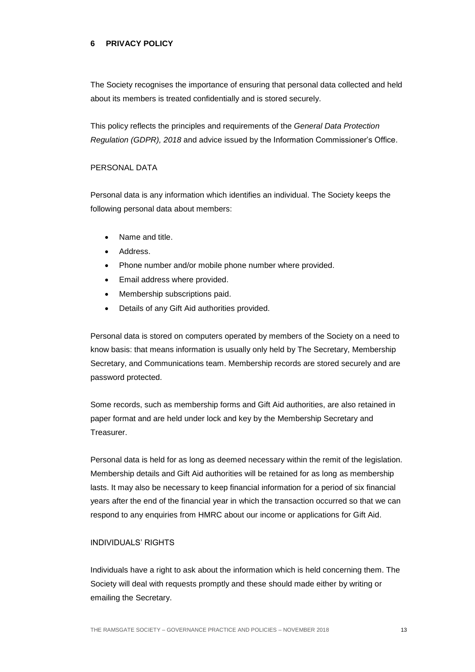## **6 PRIVACY POLICY**

The Society recognises the importance of ensuring that personal data collected and held about its members is treated confidentially and is stored securely.

This policy reflects the principles and requirements of the *General Data Protection Regulation (GDPR), 2018* and advice issued by the Information Commissioner's Office.

## PERSONAL DATA

Personal data is any information which identifies an individual. The Society keeps the following personal data about members:

- Name and title.
- Address.
- Phone number and/or mobile phone number where provided.
- Email address where provided.
- Membership subscriptions paid.
- Details of any Gift Aid authorities provided.

Personal data is stored on computers operated by members of the Society on a need to know basis: that means information is usually only held by The Secretary, Membership Secretary, and Communications team. Membership records are stored securely and are password protected.

Some records, such as membership forms and Gift Aid authorities, are also retained in paper format and are held under lock and key by the Membership Secretary and Treasurer.

Personal data is held for as long as deemed necessary within the remit of the legislation. Membership details and Gift Aid authorities will be retained for as long as membership lasts. It may also be necessary to keep financial information for a period of six financial years after the end of the financial year in which the transaction occurred so that we can respond to any enquiries from HMRC about our income or applications for Gift Aid.

# INDIVIDUALS' RIGHTS

Individuals have a right to ask about the information which is held concerning them. The Society will deal with requests promptly and these should made either by writing or emailing the Secretary.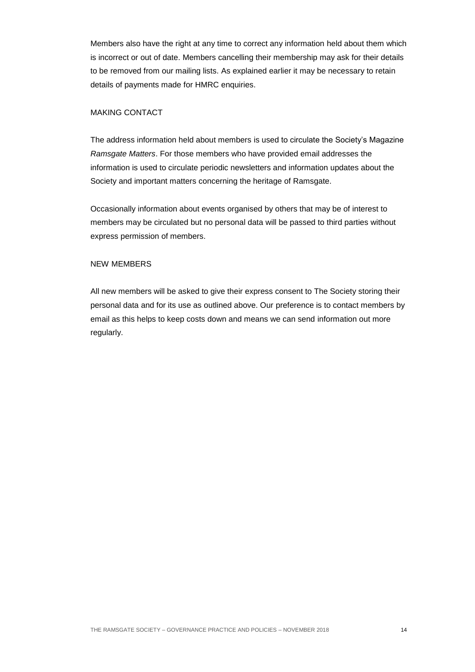Members also have the right at any time to correct any information held about them which is incorrect or out of date. Members cancelling their membership may ask for their details to be removed from our mailing lists. As explained earlier it may be necessary to retain details of payments made for HMRC enquiries.

## MAKING CONTACT

The address information held about members is used to circulate the Society's Magazine *Ramsgate Matters*. For those members who have provided email addresses the information is used to circulate periodic newsletters and information updates about the Society and important matters concerning the heritage of Ramsgate.

Occasionally information about events organised by others that may be of interest to members may be circulated but no personal data will be passed to third parties without express permission of members.

## NEW MEMBERS

All new members will be asked to give their express consent to The Society storing their personal data and for its use as outlined above. Our preference is to contact members by email as this helps to keep costs down and means we can send information out more regularly.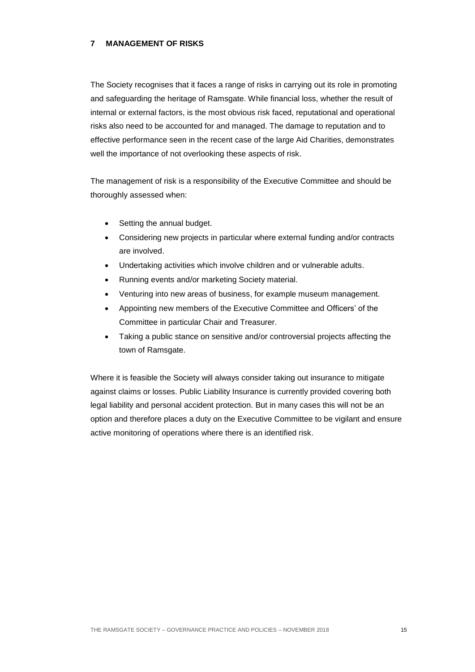## **7 MANAGEMENT OF RISKS**

The Society recognises that it faces a range of risks in carrying out its role in promoting and safeguarding the heritage of Ramsgate. While financial loss, whether the result of internal or external factors, is the most obvious risk faced, reputational and operational risks also need to be accounted for and managed. The damage to reputation and to effective performance seen in the recent case of the large Aid Charities, demonstrates well the importance of not overlooking these aspects of risk.

The management of risk is a responsibility of the Executive Committee and should be thoroughly assessed when:

- Setting the annual budget.
- Considering new projects in particular where external funding and/or contracts are involved.
- Undertaking activities which involve children and or vulnerable adults.
- Running events and/or marketing Society material.
- Venturing into new areas of business, for example museum management.
- Appointing new members of the Executive Committee and Officers' of the Committee in particular Chair and Treasurer.
- Taking a public stance on sensitive and/or controversial projects affecting the town of Ramsgate.

Where it is feasible the Society will always consider taking out insurance to mitigate against claims or losses. Public Liability Insurance is currently provided covering both legal liability and personal accident protection. But in many cases this will not be an option and therefore places a duty on the Executive Committee to be vigilant and ensure active monitoring of operations where there is an identified risk.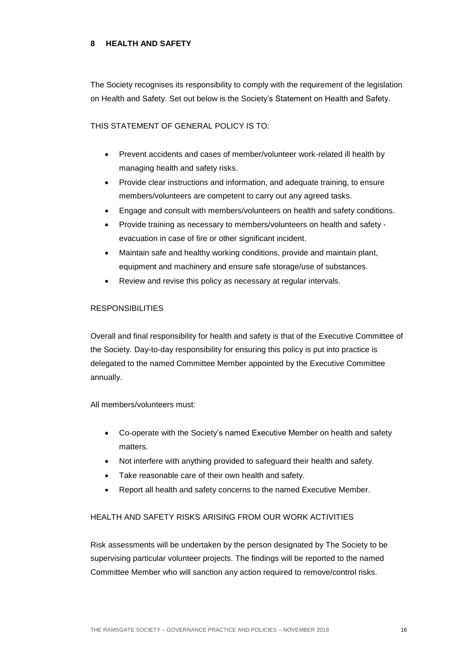## **8 HEALTH AND SAFETY**

The Society recognises its responsibility to comply with the requirement of the legislation on Health and Safety. Set out below is the Society's Statement on Health and Safety.

THIS STATEMENT OF GENERAL POLICY IS TO:

- Prevent accidents and cases of member/volunteer work-related ill health by managing health and safety risks.
- Provide clear instructions and information, and adequate training, to ensure members/volunteers are competent to carry out any agreed tasks.
- Engage and consult with members/volunteers on health and safety conditions.
- Provide training as necessary to members/volunteers on health and safety evacuation in case of fire or other significant incident.
- Maintain safe and healthy working conditions, provide and maintain plant, equipment and machinery and ensure safe storage/use of substances.
- Review and revise this policy as necessary at regular intervals.

# **RESPONSIBILITIES**

Overall and final responsibility for health and safety is that of the Executive Committee of the Society. Day-to-day responsibility for ensuring this policy is put into practice is delegated to the named Committee Member appointed by the Executive Committee annually.

All members/volunteers must:

- Co-operate with the Society's named Executive Member on health and safety matters.
- Not interfere with anything provided to safeguard their health and safety.
- Take reasonable care of their own health and safety.
- Report all health and safety concerns to the named Executive Member.

# HEALTH AND SAFETY RISKS ARISING FROM OUR WORK ACTIVITIES

Risk assessments will be undertaken by the person designated by The Society to be supervising particular volunteer projects. The findings will be reported to the named Committee Member who will sanction any action required to remove/control risks.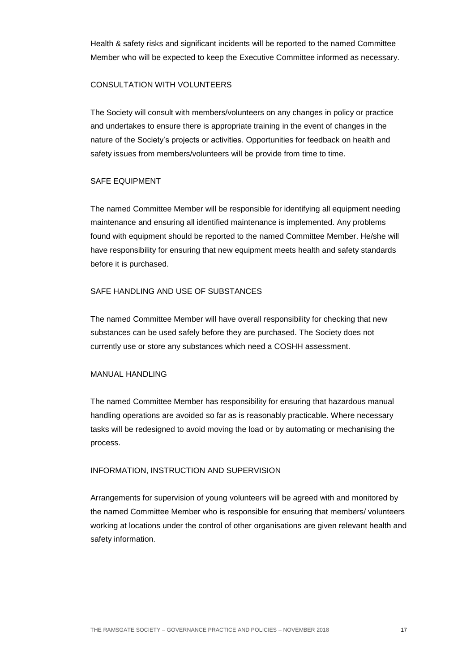Health & safety risks and significant incidents will be reported to the named Committee Member who will be expected to keep the Executive Committee informed as necessary.

# CONSULTATION WITH VOLUNTEERS

The Society will consult with members/volunteers on any changes in policy or practice and undertakes to ensure there is appropriate training in the event of changes in the nature of the Society's projects or activities. Opportunities for feedback on health and safety issues from members/volunteers will be provide from time to time.

# SAFE EQUIPMENT

The named Committee Member will be responsible for identifying all equipment needing maintenance and ensuring all identified maintenance is implemented. Any problems found with equipment should be reported to the named Committee Member. He/she will have responsibility for ensuring that new equipment meets health and safety standards before it is purchased.

## SAFE HANDLING AND USE OF SUBSTANCES

The named Committee Member will have overall responsibility for checking that new substances can be used safely before they are purchased. The Society does not currently use or store any substances which need a COSHH assessment.

## MANUAL HANDLING

The named Committee Member has responsibility for ensuring that hazardous manual handling operations are avoided so far as is reasonably practicable. Where necessary tasks will be redesigned to avoid moving the load or by automating or mechanising the process.

## INFORMATION, INSTRUCTION AND SUPERVISION

Arrangements for supervision of young volunteers will be agreed with and monitored by the named Committee Member who is responsible for ensuring that members/ volunteers working at locations under the control of other organisations are given relevant health and safety information.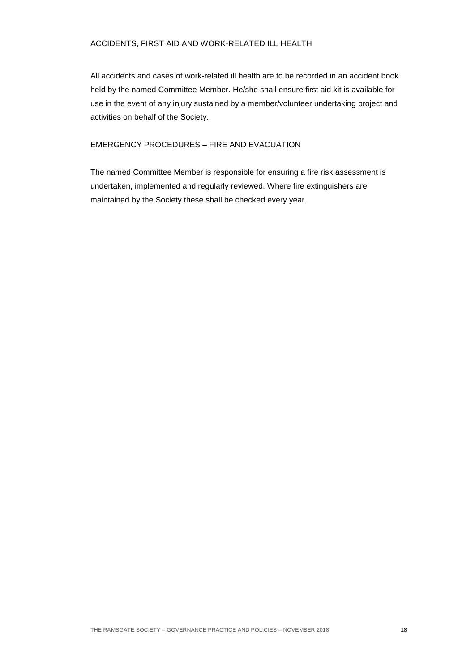All accidents and cases of work-related ill health are to be recorded in an accident book held by the named Committee Member. He/she shall ensure first aid kit is available for use in the event of any injury sustained by a member/volunteer undertaking project and activities on behalf of the Society.

# EMERGENCY PROCEDURES – FIRE AND EVACUATION

The named Committee Member is responsible for ensuring a fire risk assessment is undertaken, implemented and regularly reviewed. Where fire extinguishers are maintained by the Society these shall be checked every year.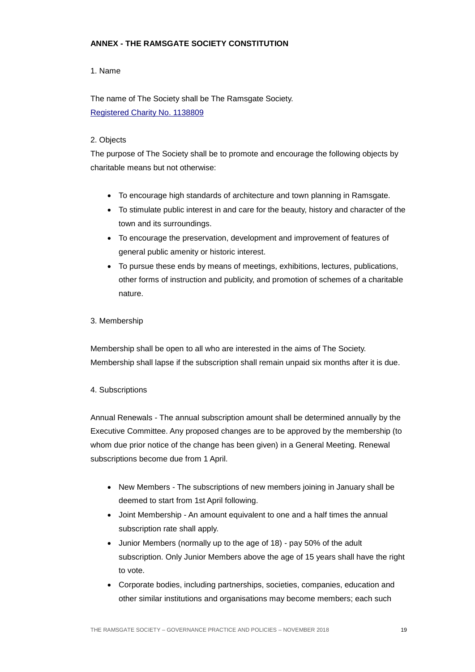# **ANNEX - THE RAMSGATE SOCIETY CONSTITUTION**

1. Name

The name of The Society shall be The Ramsgate Society. [Registered Charity No. 1138809](http://www.charitycommission.gov.uk/Showcharity/RegisterOfCharities/CharityFramework.aspx?RegisteredCharityNumber=1138809&SubsidiaryNumber=0#_blank)

# 2. Objects

The purpose of The Society shall be to promote and encourage the following objects by charitable means but not otherwise:

- To encourage high standards of architecture and town planning in Ramsgate.
- To stimulate public interest in and care for the beauty, history and character of the town and its surroundings.
- To encourage the preservation, development and improvement of features of general public amenity or historic interest.
- To pursue these ends by means of meetings, exhibitions, lectures, publications, other forms of instruction and publicity, and promotion of schemes of a charitable nature.

# 3. Membership

Membership shall be open to all who are interested in the aims of The Society. Membership shall lapse if the subscription shall remain unpaid six months after it is due.

# 4. Subscriptions

Annual Renewals - The annual subscription amount shall be determined annually by the Executive Committee. Any proposed changes are to be approved by the membership (to whom due prior notice of the change has been given) in a General Meeting. Renewal subscriptions become due from 1 April.

- New Members The subscriptions of new members joining in January shall be deemed to start from 1st April following.
- Joint Membership An amount equivalent to one and a half times the annual subscription rate shall apply.
- Junior Members (normally up to the age of 18) pay 50% of the adult subscription. Only Junior Members above the age of 15 years shall have the right to vote.
- Corporate bodies, including partnerships, societies, companies, education and other similar institutions and organisations may become members; each such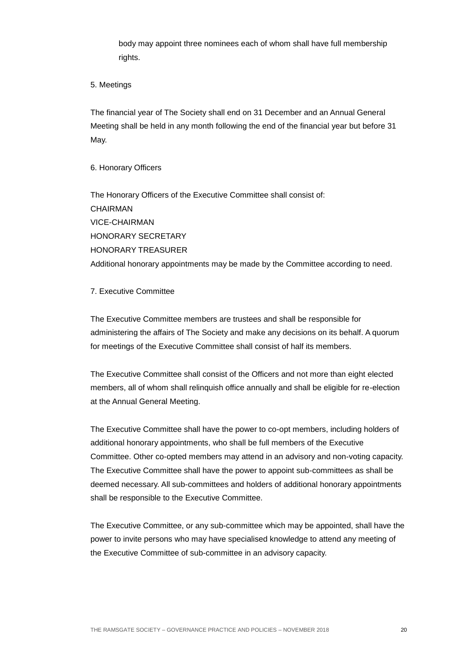body may appoint three nominees each of whom shall have full membership rights.

## 5. Meetings

The financial year of The Society shall end on 31 December and an Annual General Meeting shall be held in any month following the end of the financial year but before 31 May.

#### 6. Honorary Officers

The Honorary Officers of the Executive Committee shall consist of: **CHAIRMAN** VICE-CHAIRMAN HONORARY SECRETARY HONORARY TREASURER Additional honorary appointments may be made by the Committee according to need.

## 7. Executive Committee

The Executive Committee members are trustees and shall be responsible for administering the affairs of The Society and make any decisions on its behalf. A quorum for meetings of the Executive Committee shall consist of half its members.

The Executive Committee shall consist of the Officers and not more than eight elected members, all of whom shall relinquish office annually and shall be eligible for re-election at the Annual General Meeting.

The Executive Committee shall have the power to co-opt members, including holders of additional honorary appointments, who shall be full members of the Executive Committee. Other co-opted members may attend in an advisory and non-voting capacity. The Executive Committee shall have the power to appoint sub-committees as shall be deemed necessary. All sub-committees and holders of additional honorary appointments shall be responsible to the Executive Committee.

The Executive Committee, or any sub-committee which may be appointed, shall have the power to invite persons who may have specialised knowledge to attend any meeting of the Executive Committee of sub-committee in an advisory capacity.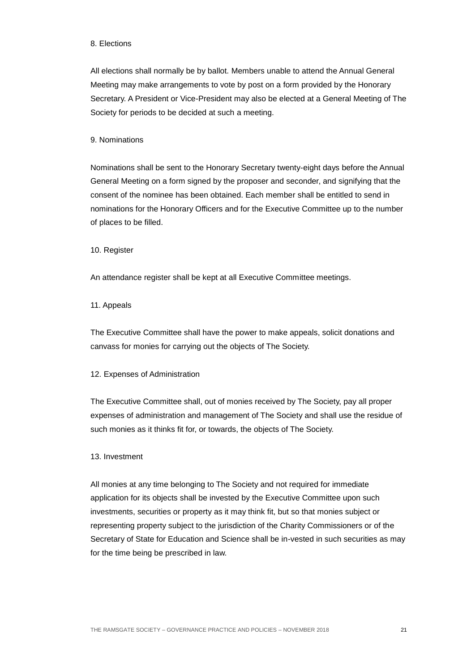#### 8. Elections

All elections shall normally be by ballot. Members unable to attend the Annual General Meeting may make arrangements to vote by post on a form provided by the Honorary Secretary. A President or Vice-President may also be elected at a General Meeting of The Society for periods to be decided at such a meeting.

## 9. Nominations

Nominations shall be sent to the Honorary Secretary twenty-eight days before the Annual General Meeting on a form signed by the proposer and seconder, and signifying that the consent of the nominee has been obtained. Each member shall be entitled to send in nominations for the Honorary Officers and for the Executive Committee up to the number of places to be filled.

10. Register

An attendance register shall be kept at all Executive Committee meetings.

#### 11. Appeals

The Executive Committee shall have the power to make appeals, solicit donations and canvass for monies for carrying out the objects of The Society.

## 12. Expenses of Administration

The Executive Committee shall, out of monies received by The Society, pay all proper expenses of administration and management of The Society and shall use the residue of such monies as it thinks fit for, or towards, the objects of The Society.

#### 13. Investment

All monies at any time belonging to The Society and not required for immediate application for its objects shall be invested by the Executive Committee upon such investments, securities or property as it may think fit, but so that monies subject or representing property subject to the jurisdiction of the Charity Commissioners or of the Secretary of State for Education and Science shall be in-vested in such securities as may for the time being be prescribed in law.